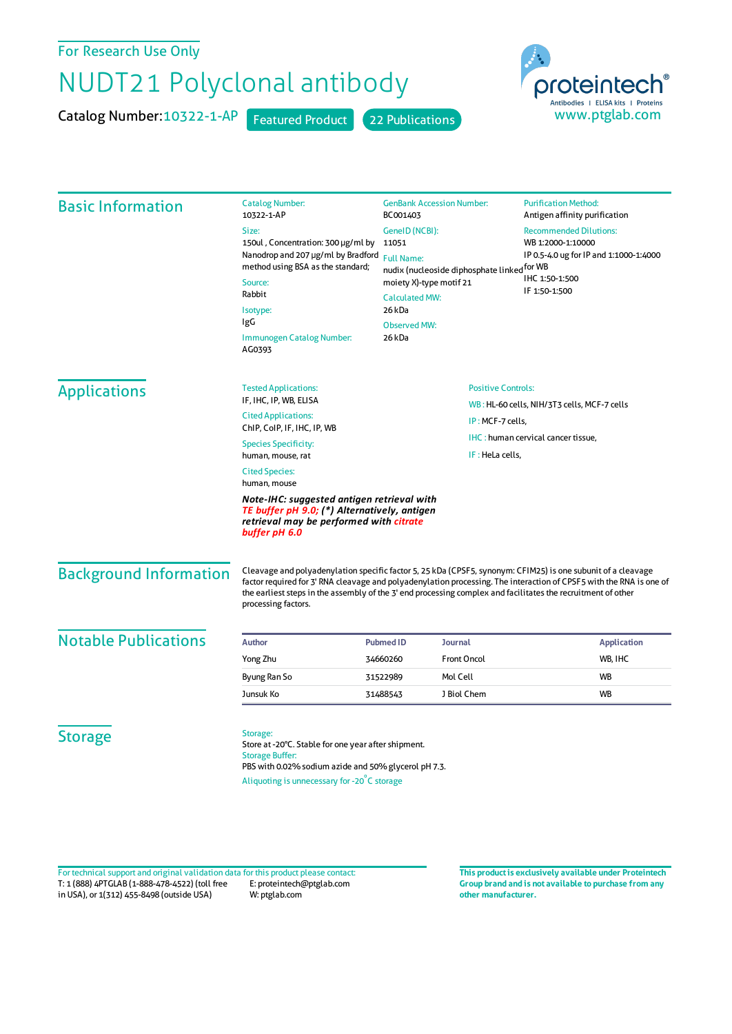## For Research Use Only

## NUDT21 Polyclonal antibody

Catalog Number: 10322-1-AP Featured Product 22 Publications



| <b>Basic Information</b>      | <b>Catalog Number:</b><br>10322-1-AP                                                                                                                                                                                                                                                                                                                                       | <b>GenBank Accession Number:</b><br>BC001403                                                                                                                                               |                    | <b>Purification Method:</b><br>Antigen affinity purification                                                                    |  |
|-------------------------------|----------------------------------------------------------------------------------------------------------------------------------------------------------------------------------------------------------------------------------------------------------------------------------------------------------------------------------------------------------------------------|--------------------------------------------------------------------------------------------------------------------------------------------------------------------------------------------|--------------------|---------------------------------------------------------------------------------------------------------------------------------|--|
|                               | Size:<br>150ul, Concentration: 300 µg/ml by<br>Nanodrop and 207 µg/ml by Bradford<br>method using BSA as the standard;<br>Source:<br>Rabbit<br>Isotype:<br>IgG<br>Immunogen Catalog Number:<br>AG0393                                                                                                                                                                      | GeneID (NCBI):<br>11051<br><b>Full Name:</b><br>nudix (nucleoside diphosphate linked for WB<br>moiety X)-type motif 21<br><b>Calculated MW:</b><br>26 kDa<br><b>Observed MW:</b><br>26 kDa |                    | <b>Recommended Dilutions:</b><br>WB 1:2000-1:10000<br>IP 0.5-4.0 ug for IP and 1:1000-1:4000<br>IHC 1:50-1:500<br>IF 1:50-1:500 |  |
| <b>Applications</b>           | <b>Tested Applications:</b>                                                                                                                                                                                                                                                                                                                                                | <b>Positive Controls:</b><br>IF, IHC, IP, WB, ELISA<br><b>Cited Applications:</b><br>IP: MCF-7 cells,                                                                                      |                    |                                                                                                                                 |  |
|                               |                                                                                                                                                                                                                                                                                                                                                                            |                                                                                                                                                                                            |                    | WB: HL-60 cells, NIH/3T3 cells, MCF-7 cells                                                                                     |  |
|                               | ChIP, CoIP, IF, IHC, IP, WB                                                                                                                                                                                                                                                                                                                                                |                                                                                                                                                                                            |                    |                                                                                                                                 |  |
|                               | <b>Species Specificity:</b>                                                                                                                                                                                                                                                                                                                                                |                                                                                                                                                                                            |                    | IHC: human cervical cancer tissue,                                                                                              |  |
|                               | IF: HeLa cells,<br>human, mouse, rat                                                                                                                                                                                                                                                                                                                                       |                                                                                                                                                                                            |                    |                                                                                                                                 |  |
|                               | <b>Cited Species:</b><br>human, mouse                                                                                                                                                                                                                                                                                                                                      |                                                                                                                                                                                            |                    |                                                                                                                                 |  |
|                               | Note-IHC: suggested antigen retrieval with<br>TE buffer pH 9.0; (*) Alternatively, antigen<br>retrieval may be performed with citrate<br>buffer pH 6.0                                                                                                                                                                                                                     |                                                                                                                                                                                            |                    |                                                                                                                                 |  |
| <b>Background Information</b> | Cleavage and polyadenylation specific factor 5, 25 kDa (CPSF5, synonym: CFIM25) is one subunit of a cleavage<br>factor required for 3' RNA cleavage and polyadenylation processing. The interaction of CPSF5 with the RNA is one of<br>the earliest steps in the assembly of the 3' end processing complex and facilitates the recruitment of other<br>processing factors. |                                                                                                                                                                                            |                    |                                                                                                                                 |  |
| <b>Notable Publications</b>   | <b>Author</b>                                                                                                                                                                                                                                                                                                                                                              | <b>Pubmed ID</b>                                                                                                                                                                           | <b>Journal</b>     | <b>Application</b>                                                                                                              |  |
|                               | Yong Zhu                                                                                                                                                                                                                                                                                                                                                                   | 34660260                                                                                                                                                                                   | <b>Front Oncol</b> | WB, IHC                                                                                                                         |  |
|                               | Byung Ran So                                                                                                                                                                                                                                                                                                                                                               | 31522989                                                                                                                                                                                   | Mol Cell           | WB                                                                                                                              |  |
|                               | Junsuk Ko                                                                                                                                                                                                                                                                                                                                                                  | 31488543                                                                                                                                                                                   | J Biol Chem        | <b>WB</b>                                                                                                                       |  |
| <b>Storage</b>                | Storage:<br>Store at -20°C. Stable for one year after shipment.<br><b>Storage Buffer:</b><br>PBS with 0.02% sodium azide and 50% glycerol pH 7.3.<br>Aliquoting is unnecessary for -20°C storage                                                                                                                                                                           |                                                                                                                                                                                            |                    |                                                                                                                                 |  |

T: 1 (888) 4PTGLAB (1-888-478-4522) (toll free in USA), or 1(312) 455-8498 (outside USA) E: proteintech@ptglab.com W: ptglab.com Fortechnical support and original validation data forthis product please contact: **This productis exclusively available under Proteintech**

**Group brand and is not available to purchase from any other manufacturer.**